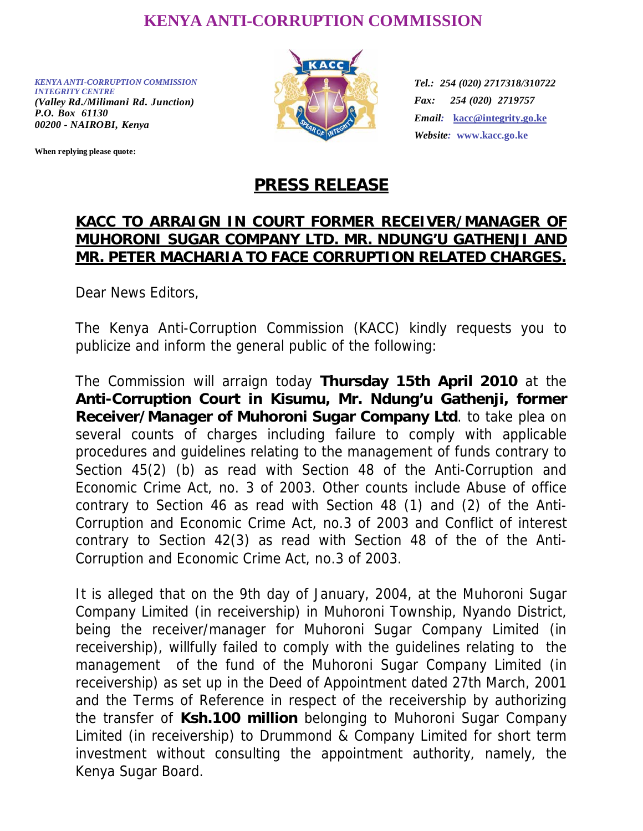## **KENYA ANTI-CORRUPTION COMMISSION**

*KENYA ANTI-CORRUPTION COMMISSION INTEGRITY CENTRE (Valley Rd./Milimani Rd. Junction) P.O. Box 61130 00200 - NAIROBI, Kenya* 

**When replying please quote:**



*Tel.: 254 (020) 2717318/310722 Fax: 254 (020) 2719757 Email:* **kacc@integrity.go.ke** *Website:* **www.kacc.go.ke** 

## **PRESS RELEASE**

## **KACC TO ARRAIGN IN COURT FORMER RECEIVER/MANAGER OF MUHORONI SUGAR COMPANY LTD. MR. NDUNG'U GATHENJI AND MR. PETER MACHARIA TO FACE CORRUPTION RELATED CHARGES.**

Dear News Editors,

The Kenya Anti-Corruption Commission (KACC) kindly requests you to publicize and inform the general public of the following:

The Commission will arraign today **Thursday 15th April 2010** at the **Anti-Corruption Court in Kisumu, Mr. Ndung'u Gathenji, former Receiver/Manager of Muhoroni Sugar Company Ltd**. to take plea on several counts of charges including failure to comply with applicable procedures and guidelines relating to the management of funds contrary to Section 45(2) (b) as read with Section 48 of the Anti-Corruption and Economic Crime Act, no. 3 of 2003. Other counts include Abuse of office contrary to Section 46 as read with Section 48 (1) and (2) of the Anti-Corruption and Economic Crime Act, no.3 of 2003 and Conflict of interest contrary to Section 42(3) as read with Section 48 of the of the Anti-Corruption and Economic Crime Act, no.3 of 2003.

It is alleged that on the 9th day of January, 2004, at the Muhoroni Sugar Company Limited (in receivership) in Muhoroni Township, Nyando District, being the receiver/manager for Muhoroni Sugar Company Limited (in receivership), willfully failed to comply with the guidelines relating to the management of the fund of the Muhoroni Sugar Company Limited (in receivership) as set up in the Deed of Appointment dated 27th March, 2001 and the Terms of Reference in respect of the receivership by authorizing the transfer of **Ksh.100 million** belonging to Muhoroni Sugar Company Limited (in receivership) to Drummond & Company Limited for short term investment without consulting the appointment authority, namely, the Kenya Sugar Board.